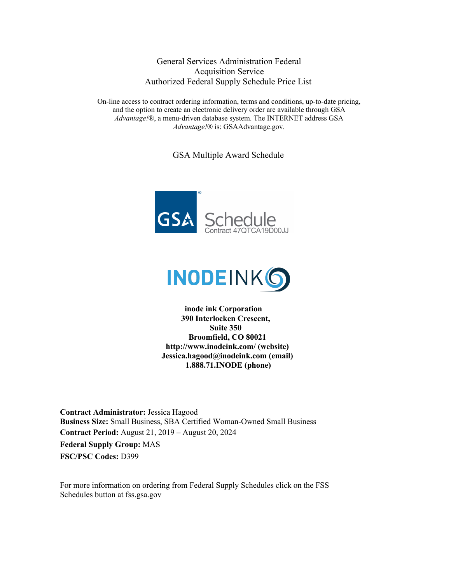General Services Administration Federal Acquisition Service Authorized Federal Supply Schedule Price List

On-line access to contract ordering information, terms and conditions, up-to-date pricing, and the option to create an electronic delivery order are available through GSA *Advantage!*®, a menu-driven database system. The INTERNET address GSA *Advantage!*® is: GSAAdvantage.gov.

GSA Multiple Award Schedule





**inode ink Corporation 390 Interlocken Crescent, Suite 350 Broomfield, CO 80021 http://www.inodeink.com/ (website) Jessica.hagood@inodeink.com (email) 1.888.71.INODE (phone)**

**Contract Administrator:** Jessica Hagood **Business Size:** Small Business, SBA Certified Woman-Owned Small Business **Contract Period:** August 21, 2019 – August 20, 2024 **Federal Supply Group:** MAS **FSC/PSC Codes:** D399

For more information on ordering from Federal Supply Schedules click on the FSS Schedules button at fss.gsa.gov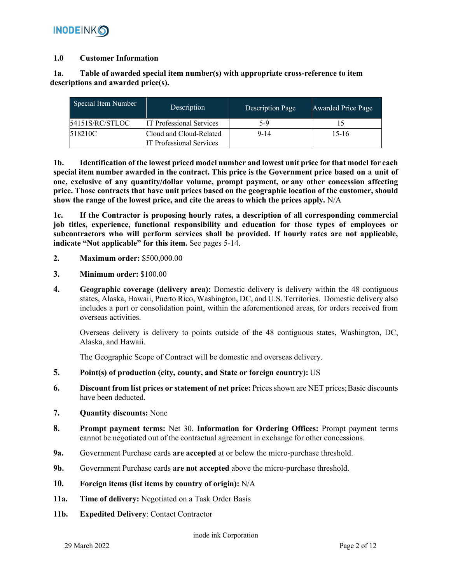#### **1.0 Customer Information**

# **1a. Table of awarded special item number(s) with appropriate cross-reference to item descriptions and awarded price(s).**

| Special Item Number<br>Description |                                 | Description Page | Awarded Price Page |
|------------------------------------|---------------------------------|------------------|--------------------|
| 54151S/RC/STLOC                    | <b>IT Professional Services</b> | 5-9              |                    |
| 518210C<br>Cloud and Cloud-Related |                                 | $9 - 14$         | $15-16$            |
|                                    | <b>IT Professional Services</b> |                  |                    |

**1b. Identification of the lowest priced model number and lowest unit price for that model for each special item number awarded in the contract. This price is the Government price based on a unit of one, exclusive of any quantity/dollar volume, prompt payment, or any other concession affecting price. Those contracts that have unit prices based on the geographic location of the customer, should show the range of the lowest price, and cite the areas to which the prices apply.** N/A

**1c. If the Contractor is proposing hourly rates, a description of all corresponding commercial job titles, experience, functional responsibility and education for those types of employees or subcontractors who will perform services shall be provided. If hourly rates are not applicable, indicate "Not applicable" for this item.** See pages 5-14.

- **2. Maximum order:** \$500,000.00
- **3. Minimum order:** \$100.00
- **4. Geographic coverage (delivery area):** Domestic delivery is delivery within the 48 contiguous states, Alaska, Hawaii, Puerto Rico, Washington, DC, and U.S. Territories. Domestic delivery also includes a port or consolidation point, within the aforementioned areas, for orders received from overseas activities.

Overseas delivery is delivery to points outside of the 48 contiguous states, Washington, DC, Alaska, and Hawaii.

The Geographic Scope of Contract will be domestic and overseas delivery.

- **5. Point(s) of production (city, county, and State or foreign country):** US
- **6. Discount from list prices or statement of net price:** Prices shown are NET prices; Basic discounts have been deducted.
- **7. Quantity discounts:** None
- **8. Prompt payment terms:** Net 30. **Information for Ordering Offices:** Prompt payment terms cannot be negotiated out of the contractual agreement in exchange for other concessions.
- **9a.** Government Purchase cards **are accepted** at or below the micro-purchase threshold.
- **9b.** Government Purchase cards **are not accepted** above the micro-purchase threshold.
- **10. Foreign items (list items by country of origin):** N/A
- **11a. Time of delivery:** Negotiated on a Task Order Basis
- **11b. Expedited Delivery**: Contact Contractor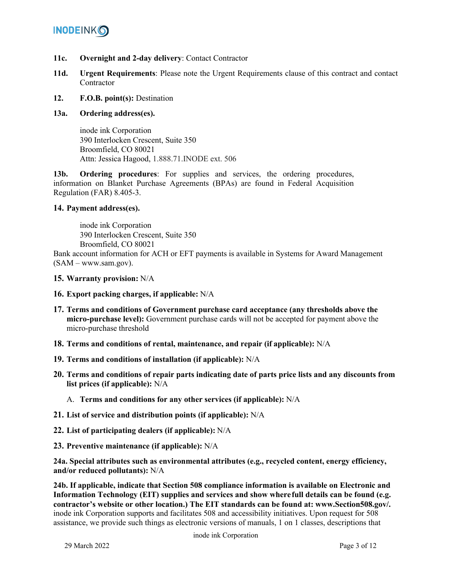- **11c. Overnight and 2-day delivery**: Contact Contractor
- **11d. Urgent Requirements**: Please note the Urgent Requirements clause of this contract and contact **Contractor**
- **12. F.O.B. point(s):** Destination

# **13a. Ordering address(es).**

inode ink Corporation 390 Interlocken Crescent, Suite 350 Broomfield, CO 80021 Attn: Jessica Hagood, 1.888.71.INODE ext. 506

**13b. Ordering procedures**: For supplies and services, the ordering procedures, information on Blanket Purchase Agreements (BPAs) are found in Federal Acquisition Regulation (FAR) 8.405-3.

## **14. Payment address(es).**

inode ink Corporation 390 Interlocken Crescent, Suite 350 Broomfield, CO 80021

Bank account information for ACH or EFT payments is available in Systems for Award Management (SAM – www.sam.gov).

- **15. Warranty provision:** N/A
- **16. Export packing charges, if applicable:** N/A
- **17. Terms and conditions of Government purchase card acceptance (any thresholds above the micro-purchase level):** Government purchase cards will not be accepted for payment above the micro-purchase threshold
- **18. Terms and conditions of rental, maintenance, and repair (if applicable):** N/A
- **19. Terms and conditions of installation (if applicable):** N/A
- **20. Terms and conditions of repair parts indicating date of parts price lists and any discounts from list prices (if applicable):** N/A
	- A. **Terms and conditions for any other services (if applicable):** N/A
- **21. List of service and distribution points (if applicable):** N/A
- **22. List of participating dealers (if applicable):** N/A
- **23. Preventive maintenance (if applicable):** N/A

**24a. Special attributes such as environmental attributes (e.g., recycled content, energy efficiency, and/or reduced pollutants):** N/A

**24b. If applicable, indicate that Section 508 compliance information is available on Electronic and Information Technology (EIT) supplies and services and show wherefull details can be found (e.g. contractor's website or other location.) The EIT standards can be found at: www.Section508.gov/.**  inode ink Corporation supports and facilitates 508 and accessibility initiatives. Upon request for 508 assistance, we provide such things as electronic versions of manuals, 1 on 1 classes, descriptions that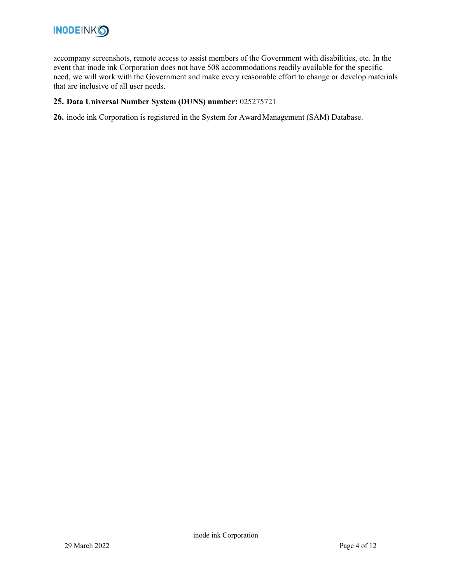

accompany screenshots, remote access to assist members of the Government with disabilities, etc. In the event that inode ink Corporation does not have 508 accommodations readily available for the specific need, we will work with the Government and make every reasonable effort to change or develop materials that are inclusive of all user needs.

## **25. Data Universal Number System (DUNS) number:** 025275721

**26.** inode ink Corporation is registered in the System for AwardManagement (SAM) Database.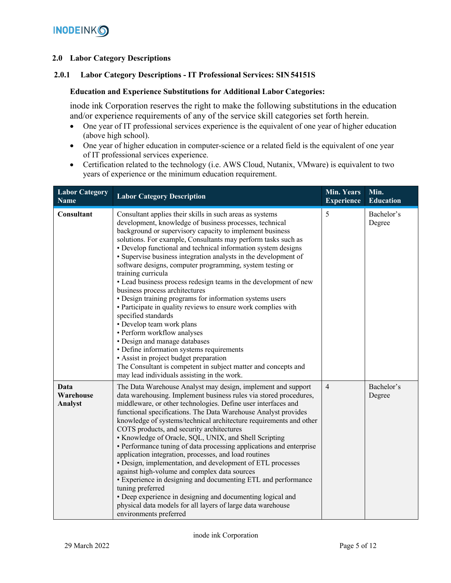## **2.0 Labor Category Descriptions**

## **2.0.1 Labor Category Descriptions - IT Professional Services: SIN54151S**

#### **Education and Experience Substitutions for Additional Labor Categories:**

inode ink Corporation reserves the right to make the following substitutions in the education and/or experience requirements of any of the service skill categories set forth herein.

- One year of IT professional services experience is the equivalent of one year of higher education (above high school).
- One year of higher education in computer-science or a related field is the equivalent of one year of IT professional services experience.
- Certification related to the technology (i.e. AWS Cloud, Nutanix, VMware) is equivalent to two years of experience or the minimum education requirement.

| <b>Labor Category</b><br><b>Name</b> | <b>Labor Category Description</b>                                                                                                                                                                                                                                                                                                                                                                                                                                                                                                                                                                                                                                                                                                                                                                                                                                                                                                                                                                                                      | <b>Min. Years</b><br><b>Experience</b> | Min.<br><b>Education</b> |
|--------------------------------------|----------------------------------------------------------------------------------------------------------------------------------------------------------------------------------------------------------------------------------------------------------------------------------------------------------------------------------------------------------------------------------------------------------------------------------------------------------------------------------------------------------------------------------------------------------------------------------------------------------------------------------------------------------------------------------------------------------------------------------------------------------------------------------------------------------------------------------------------------------------------------------------------------------------------------------------------------------------------------------------------------------------------------------------|----------------------------------------|--------------------------|
| Consultant                           | Consultant applies their skills in such areas as systems<br>development, knowledge of business processes, technical<br>background or supervisory capacity to implement business<br>solutions. For example, Consultants may perform tasks such as<br>• Develop functional and technical information system designs<br>· Supervise business integration analysts in the development of<br>software designs, computer programming, system testing or<br>training curricula<br>• Lead business process redesign teams in the development of new<br>business process architectures<br>• Design training programs for information systems users<br>• Participate in quality reviews to ensure work complies with<br>specified standards<br>• Develop team work plans<br>· Perform workflow analyses<br>• Design and manage databases<br>• Define information systems requirements<br>• Assist in project budget preparation<br>The Consultant is competent in subject matter and concepts and<br>may lead individuals assisting in the work. | 5                                      | Bachelor's<br>Degree     |
| Data<br>Warehouse<br><b>Analyst</b>  | The Data Warehouse Analyst may design, implement and support<br>data warehousing. Implement business rules via stored procedures,<br>middleware, or other technologies. Define user interfaces and<br>functional specifications. The Data Warehouse Analyst provides<br>knowledge of systems/technical architecture requirements and other<br>COTS products, and security architectures<br>• Knowledge of Oracle, SQL, UNIX, and Shell Scripting<br>• Performance tuning of data processing applications and enterprise<br>application integration, processes, and load routines<br>• Design, implementation, and development of ETL processes<br>against high-volume and complex data sources<br>• Experience in designing and documenting ETL and performance<br>tuning preferred<br>• Deep experience in designing and documenting logical and<br>physical data models for all layers of large data warehouse<br>environments preferred                                                                                             | $\overline{4}$                         | Bachelor's<br>Degree     |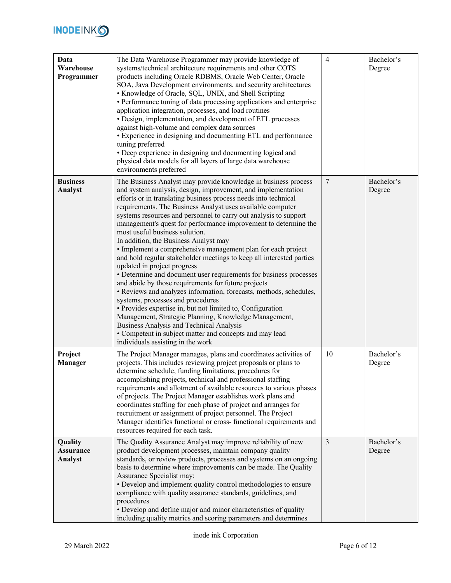

| Data<br>Warehouse<br>Programmer        | The Data Warehouse Programmer may provide knowledge of<br>systems/technical architecture requirements and other COTS<br>products including Oracle RDBMS, Oracle Web Center, Oracle<br>SOA, Java Development environments, and security architectures<br>• Knowledge of Oracle, SQL, UNIX, and Shell Scripting<br>• Performance tuning of data processing applications and enterprise<br>application integration, processes, and load routines<br>• Design, implementation, and development of ETL processes<br>against high-volume and complex data sources<br>• Experience in designing and documenting ETL and performance<br>tuning preferred<br>• Deep experience in designing and documenting logical and<br>physical data models for all layers of large data warehouse<br>environments preferred                                                                                                                                                                                                                                                                                                                                                            | $\overline{4}$ | Bachelor's<br>Degree |
|----------------------------------------|--------------------------------------------------------------------------------------------------------------------------------------------------------------------------------------------------------------------------------------------------------------------------------------------------------------------------------------------------------------------------------------------------------------------------------------------------------------------------------------------------------------------------------------------------------------------------------------------------------------------------------------------------------------------------------------------------------------------------------------------------------------------------------------------------------------------------------------------------------------------------------------------------------------------------------------------------------------------------------------------------------------------------------------------------------------------------------------------------------------------------------------------------------------------|----------------|----------------------|
| <b>Business</b><br>Analyst             | The Business Analyst may provide knowledge in business process<br>and system analysis, design, improvement, and implementation<br>efforts or in translating business process needs into technical<br>requirements. The Business Analyst uses available computer<br>systems resources and personnel to carry out analysis to support<br>management's quest for performance improvement to determine the<br>most useful business solution.<br>In addition, the Business Analyst may<br>• Implement a comprehensive management plan for each project<br>and hold regular stakeholder meetings to keep all interested parties<br>updated in project progress<br>• Determine and document user requirements for business processes<br>and abide by those requirements for future projects<br>• Reviews and analyzes information, forecasts, methods, schedules,<br>systems, processes and procedures<br>• Provides expertise in, but not limited to, Configuration<br>Management, Strategic Planning, Knowledge Management,<br>Business Analysis and Technical Analysis<br>• Competent in subject matter and concepts and may lead<br>individuals assisting in the work | $\overline{7}$ | Bachelor's<br>Degree |
| Project<br><b>Manager</b>              | The Project Manager manages, plans and coordinates activities of<br>projects. This includes reviewing project proposals or plans to<br>determine schedule, funding limitations, procedures for<br>accomplishing projects, technical and professional staffing<br>requirements and allotment of available resources to various phases<br>of projects. The Project Manager establishes work plans and<br>coordinates staffing for each phase of project and arranges for<br>recruitment or assignment of project personnel. The Project<br>Manager identifies functional or cross- functional requirements and<br>resources required for each task.                                                                                                                                                                                                                                                                                                                                                                                                                                                                                                                  | 10             | Bachelor's<br>Degree |
| Quality<br><b>Assurance</b><br>Analyst | The Quality Assurance Analyst may improve reliability of new<br>product development processes, maintain company quality<br>standards, or review products, processes and systems on an ongoing<br>basis to determine where improvements can be made. The Quality<br>Assurance Specialist may:<br>• Develop and implement quality control methodologies to ensure<br>compliance with quality assurance standards, guidelines, and<br>procedures<br>• Develop and define major and minor characteristics of quality<br>including quality metrics and scoring parameters and determines                                                                                                                                                                                                                                                                                                                                                                                                                                                                                                                                                                                | $\mathfrak{Z}$ | Bachelor's<br>Degree |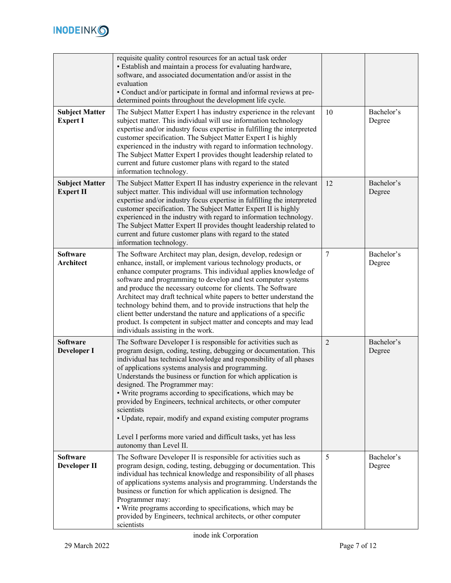

|                                           | requisite quality control resources for an actual task order<br>• Establish and maintain a process for evaluating hardware,<br>software, and associated documentation and/or assist in the<br>evaluation<br>• Conduct and/or participate in formal and informal reviews at pre-<br>determined points throughout the development life cycle.                                                                                                                                                                                                                                                                                                                                    |                |                      |
|-------------------------------------------|--------------------------------------------------------------------------------------------------------------------------------------------------------------------------------------------------------------------------------------------------------------------------------------------------------------------------------------------------------------------------------------------------------------------------------------------------------------------------------------------------------------------------------------------------------------------------------------------------------------------------------------------------------------------------------|----------------|----------------------|
| <b>Subject Matter</b><br><b>Expert I</b>  | The Subject Matter Expert I has industry experience in the relevant<br>subject matter. This individual will use information technology<br>expertise and/or industry focus expertise in fulfilling the interpreted<br>customer specification. The Subject Matter Expert I is highly<br>experienced in the industry with regard to information technology.<br>The Subject Matter Expert I provides thought leadership related to<br>current and future customer plans with regard to the stated<br>information technology.                                                                                                                                                       | 10             | Bachelor's<br>Degree |
| <b>Subject Matter</b><br><b>Expert II</b> | The Subject Matter Expert II has industry experience in the relevant<br>subject matter. This individual will use information technology<br>expertise and/or industry focus expertise in fulfilling the interpreted<br>customer specification. The Subject Matter Expert II is highly<br>experienced in the industry with regard to information technology.<br>The Subject Matter Expert II provides thought leadership related to<br>current and future customer plans with regard to the stated<br>information technology.                                                                                                                                                    | 12             | Bachelor's<br>Degree |
| <b>Software</b><br>Architect              | The Software Architect may plan, design, develop, redesign or<br>enhance, install, or implement various technology products, or<br>enhance computer programs. This individual applies knowledge of<br>software and programming to develop and test computer systems<br>and produce the necessary outcome for clients. The Software<br>Architect may draft technical white papers to better understand the<br>technology behind them, and to provide instructions that help the<br>client better understand the nature and applications of a specific<br>product. Is competent in subject matter and concepts and may lead<br>individuals assisting in the work.                | 7              | Bachelor's<br>Degree |
| <b>Software</b><br><b>Developer I</b>     | The Software Developer I is responsible for activities such as<br>program design, coding, testing, debugging or documentation. This<br>individual has technical knowledge and responsibility of all phases<br>of applications systems analysis and programming.<br>Understands the business or function for which application is<br>designed. The Programmer may:<br>• Write programs according to specifications, which may be<br>provided by Engineers, technical architects, or other computer<br>scientists<br>• Update, repair, modify and expand existing computer programs<br>Level I performs more varied and difficult tasks, yet has less<br>autonomy than Level II. | $\overline{2}$ | Bachelor's<br>Degree |
| <b>Software</b><br>Developer II           | The Software Developer II is responsible for activities such as<br>program design, coding, testing, debugging or documentation. This<br>individual has technical knowledge and responsibility of all phases<br>of applications systems analysis and programming. Understands the<br>business or function for which application is designed. The<br>Programmer may:<br>• Write programs according to specifications, which may be<br>provided by Engineers, technical architects, or other computer<br>scientists                                                                                                                                                               | 5              | Bachelor's<br>Degree |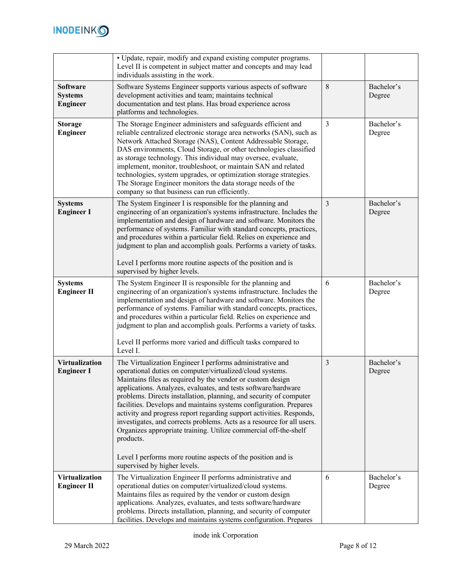

|                                                      | · Update, repair, modify and expand existing computer programs.<br>Level II is competent in subject matter and concepts and may lead<br>individuals assisting in the work.                                                                                                                                                                                                                                                                                                                                                                                                                                                                                                                                                            |                |                      |
|------------------------------------------------------|---------------------------------------------------------------------------------------------------------------------------------------------------------------------------------------------------------------------------------------------------------------------------------------------------------------------------------------------------------------------------------------------------------------------------------------------------------------------------------------------------------------------------------------------------------------------------------------------------------------------------------------------------------------------------------------------------------------------------------------|----------------|----------------------|
| <b>Software</b><br><b>Systems</b><br><b>Engineer</b> | Software Systems Engineer supports various aspects of software<br>development activities and team; maintains technical<br>documentation and test plans. Has broad experience across<br>platforms and technologies.                                                                                                                                                                                                                                                                                                                                                                                                                                                                                                                    | 8              | Bachelor's<br>Degree |
| <b>Storage</b><br><b>Engineer</b>                    | The Storage Engineer administers and safeguards efficient and<br>reliable centralized electronic storage area networks (SAN), such as<br>Network Attached Storage (NAS), Content Addressable Storage,<br>DAS environments, Cloud Storage, or other technologies classified<br>as storage technology. This individual may oversee, evaluate,<br>implement, monitor, troubleshoot, or maintain SAN and related<br>technologies, system upgrades, or optimization storage strategies.<br>The Storage Engineer monitors the data storage needs of the<br>company so that business can run efficiently.                                                                                                                                    | $\overline{3}$ | Bachelor's<br>Degree |
| <b>Systems</b><br><b>Engineer I</b>                  | The System Engineer I is responsible for the planning and<br>engineering of an organization's systems infrastructure. Includes the<br>implementation and design of hardware and software. Monitors the<br>performance of systems. Familiar with standard concepts, practices,<br>and procedures within a particular field. Relies on experience and<br>judgment to plan and accomplish goals. Performs a variety of tasks.<br>Level I performs more routine aspects of the position and is<br>supervised by higher levels.                                                                                                                                                                                                            | $\overline{3}$ | Bachelor's<br>Degree |
| <b>Systems</b><br><b>Engineer II</b>                 | The System Engineer II is responsible for the planning and<br>engineering of an organization's systems infrastructure. Includes the<br>implementation and design of hardware and software. Monitors the<br>performance of systems. Familiar with standard concepts, practices,<br>and procedures within a particular field. Relies on experience and<br>judgment to plan and accomplish goals. Performs a variety of tasks.<br>Level II performs more varied and difficult tasks compared to<br>Level I.                                                                                                                                                                                                                              | 6              | Bachelor's<br>Degree |
| <b>Virtualization</b><br><b>Engineer I</b>           | The Virtualization Engineer I performs administrative and<br>operational duties on computer/virtualized/cloud systems.<br>Maintains files as required by the vendor or custom design<br>applications. Analyzes, evaluates, and tests software/hardware<br>problems. Directs installation, planning, and security of computer<br>facilities. Develops and maintains systems configuration. Prepares<br>activity and progress report regarding support activities. Responds,<br>investigates, and corrects problems. Acts as a resource for all users.<br>Organizes appropriate training. Utilize commercial off-the-shelf<br>products.<br>Level I performs more routine aspects of the position and is<br>supervised by higher levels. | 3              | Bachelor's<br>Degree |
| <b>Virtualization</b><br><b>Engineer II</b>          | The Virtualization Engineer II performs administrative and<br>operational duties on computer/virtualized/cloud systems.<br>Maintains files as required by the vendor or custom design<br>applications. Analyzes, evaluates, and tests software/hardware<br>problems. Directs installation, planning, and security of computer<br>facilities. Develops and maintains systems configuration. Prepares                                                                                                                                                                                                                                                                                                                                   | 6              | Bachelor's<br>Degree |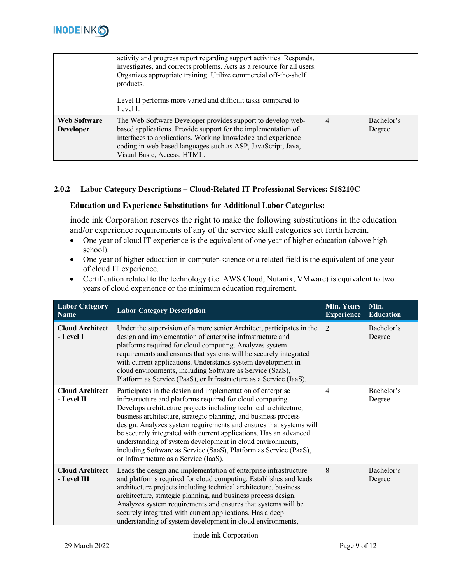

|                                         | activity and progress report regarding support activities. Responds,<br>investigates, and corrects problems. Acts as a resource for all users.<br>Organizes appropriate training. Utilize commercial off-the-shelf<br>products.<br>Level II performs more varied and difficult tasks compared to<br>Level I. |                |                      |
|-----------------------------------------|--------------------------------------------------------------------------------------------------------------------------------------------------------------------------------------------------------------------------------------------------------------------------------------------------------------|----------------|----------------------|
| <b>Web Software</b><br><b>Developer</b> | The Web Software Developer provides support to develop web-<br>based applications. Provide support for the implementation of<br>interfaces to applications. Working knowledge and experience<br>coding in web-based languages such as ASP, JavaScript, Java,<br>Visual Basic, Access, HTML.                  | $\overline{4}$ | Bachelor's<br>Degree |

# **2.0.2 Labor Category Descriptions – Cloud-Related IT Professional Services: 518210C**

#### **Education and Experience Substitutions for Additional Labor Categories:**

inode ink Corporation reserves the right to make the following substitutions in the education and/or experience requirements of any of the service skill categories set forth herein.

- One year of cloud IT experience is the equivalent of one year of higher education (above high school).
- One year of higher education in computer-science or a related field is the equivalent of one year of cloud IT experience.
- Certification related to the technology (i.e. AWS Cloud, Nutanix, VMware) is equivalent to two years of cloud experience or the minimum education requirement.

| <b>Labor Category</b><br><b>Name</b>  | <b>Labor Category Description</b>                                                                                                                                                                                                                                                                                                                                                                                                                                                                                                                                                        | <b>Min. Years</b><br><b>Experience</b> | Min.<br><b>Education</b> |
|---------------------------------------|------------------------------------------------------------------------------------------------------------------------------------------------------------------------------------------------------------------------------------------------------------------------------------------------------------------------------------------------------------------------------------------------------------------------------------------------------------------------------------------------------------------------------------------------------------------------------------------|----------------------------------------|--------------------------|
| <b>Cloud Architect</b><br>- Level I   | Under the supervision of a more senior Architect, participates in the<br>design and implementation of enterprise infrastructure and<br>platforms required for cloud computing. Analyzes system<br>requirements and ensures that systems will be securely integrated<br>with current applications. Understands system development in<br>cloud environments, including Software as Service (SaaS),<br>Platform as Service (PaaS), or Infrastructure as a Service (IaaS).                                                                                                                   | $\overline{2}$                         | Bachelor's<br>Degree     |
| <b>Cloud Architect</b><br>- Level II  | Participates in the design and implementation of enterprise<br>infrastructure and platforms required for cloud computing.<br>Develops architecture projects including technical architecture,<br>business architecture, strategic planning, and business process<br>design. Analyzes system requirements and ensures that systems will<br>be securely integrated with current applications. Has an advanced<br>understanding of system development in cloud environments,<br>including Software as Service (SaaS), Platform as Service (PaaS),<br>or Infrastructure as a Service (IaaS). | $\overline{4}$                         | Bachelor's<br>Degree     |
| <b>Cloud Architect</b><br>- Level III | Leads the design and implementation of enterprise infrastructure<br>and platforms required for cloud computing. Establishes and leads<br>architecture projects including technical architecture, business<br>architecture, strategic planning, and business process design.<br>Analyzes system requirements and ensures that systems will be<br>securely integrated with current applications. Has a deep<br>understanding of system development in cloud environments,                                                                                                                  | 8                                      | Bachelor's<br>Degree     |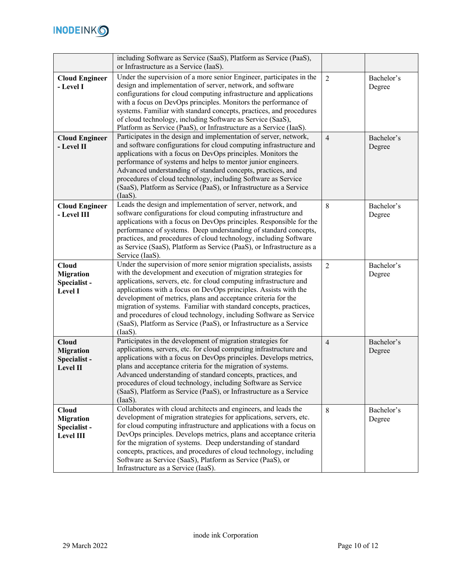

|                       | including Software as Service (SaaS), Platform as Service (PaaS),                                                                    |                |            |
|-----------------------|--------------------------------------------------------------------------------------------------------------------------------------|----------------|------------|
|                       | or Infrastructure as a Service (IaaS).                                                                                               |                |            |
| <b>Cloud Engineer</b> | Under the supervision of a more senior Engineer, participates in the                                                                 | $\overline{2}$ | Bachelor's |
| - Level I             | design and implementation of server, network, and software                                                                           |                | Degree     |
|                       | configurations for cloud computing infrastructure and applications                                                                   |                |            |
|                       | with a focus on DevOps principles. Monitors the performance of                                                                       |                |            |
|                       | systems. Familiar with standard concepts, practices, and procedures                                                                  |                |            |
|                       | of cloud technology, including Software as Service (SaaS),                                                                           |                |            |
|                       | Platform as Service (PaaS), or Infrastructure as a Service (IaaS).                                                                   |                |            |
| <b>Cloud Engineer</b> | Participates in the design and implementation of server, network,                                                                    | $\overline{4}$ | Bachelor's |
| - Level II            | and software configurations for cloud computing infrastructure and                                                                   |                | Degree     |
|                       | applications with a focus on DevOps principles. Monitors the                                                                         |                |            |
|                       | performance of systems and helps to mentor junior engineers.<br>Advanced understanding of standard concepts, practices, and          |                |            |
|                       | procedures of cloud technology, including Software as Service                                                                        |                |            |
|                       | (SaaS), Platform as Service (PaaS), or Infrastructure as a Service                                                                   |                |            |
|                       | (IaaS).                                                                                                                              |                |            |
| <b>Cloud Engineer</b> | Leads the design and implementation of server, network, and                                                                          | 8              | Bachelor's |
| - Level III           | software configurations for cloud computing infrastructure and                                                                       |                | Degree     |
|                       | applications with a focus on DevOps principles. Responsible for the                                                                  |                |            |
|                       | performance of systems. Deep understanding of standard concepts,                                                                     |                |            |
|                       | practices, and procedures of cloud technology, including Software                                                                    |                |            |
|                       | as Service (SaaS), Platform as Service (PaaS), or Infrastructure as a                                                                |                |            |
|                       | Service (IaaS).                                                                                                                      |                |            |
| <b>Cloud</b>          | Under the supervision of more senior migration specialists, assists                                                                  | $\overline{2}$ | Bachelor's |
| <b>Migration</b>      | with the development and execution of migration strategies for<br>applications, servers, etc. for cloud computing infrastructure and |                | Degree     |
| Specialist-           | applications with a focus on DevOps principles. Assists with the                                                                     |                |            |
| <b>Level I</b>        | development of metrics, plans and acceptance criteria for the                                                                        |                |            |
|                       | migration of systems. Familiar with standard concepts, practices,                                                                    |                |            |
|                       | and procedures of cloud technology, including Software as Service                                                                    |                |            |
|                       | (SaaS), Platform as Service (PaaS), or Infrastructure as a Service                                                                   |                |            |
|                       | (IaaS).                                                                                                                              |                |            |
| <b>Cloud</b>          | Participates in the development of migration strategies for                                                                          | $\overline{4}$ | Bachelor's |
| <b>Migration</b>      | applications, servers, etc. for cloud computing infrastructure and                                                                   |                | Degree     |
| Specialist-           | applications with a focus on DevOps principles. Develops metrics,                                                                    |                |            |
| Level II              | plans and acceptance criteria for the migration of systems.                                                                          |                |            |
|                       | Advanced understanding of standard concepts, practices, and<br>procedures of cloud technology, including Software as Service         |                |            |
|                       | (SaaS), Platform as Service (PaaS), or Infrastructure as a Service                                                                   |                |            |
|                       | (IaaS).                                                                                                                              |                |            |
| <b>Cloud</b>          | Collaborates with cloud architects and engineers, and leads the                                                                      | 8              | Bachelor's |
| <b>Migration</b>      | development of migration strategies for applications, servers, etc.                                                                  |                | Degree     |
| Specialist-           | for cloud computing infrastructure and applications with a focus on                                                                  |                |            |
| Level III             | DevOps principles. Develops metrics, plans and acceptance criteria                                                                   |                |            |
|                       | for the migration of systems. Deep understanding of standard                                                                         |                |            |
|                       | concepts, practices, and procedures of cloud technology, including                                                                   |                |            |
|                       | Software as Service (SaaS), Platform as Service (PaaS), or                                                                           |                |            |
|                       | Infrastructure as a Service (IaaS).                                                                                                  |                |            |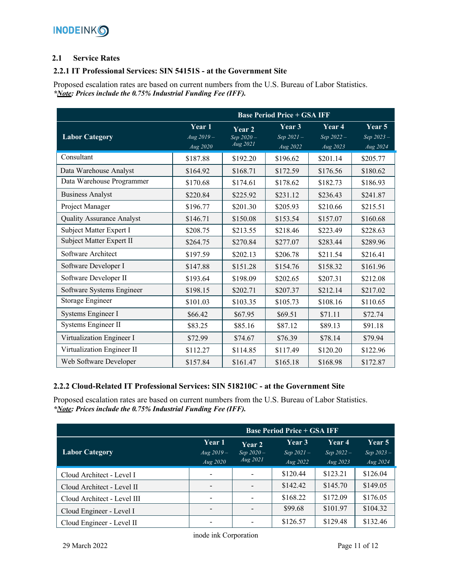# **2.1 Service Rates**

# **2.2.1 IT Professional Services: SIN 54151S - at the Government Site**

Proposed escalation rates are based on current numbers from the U.S. Bureau of Labor Statistics. *\*Note: Prices include the 0.75% Industrial Funding Fee (IFF).*

|                                  | <b>Base Period Price + GSA IFF</b> |                                 |                                               |                                 |                                    |  |  |
|----------------------------------|------------------------------------|---------------------------------|-----------------------------------------------|---------------------------------|------------------------------------|--|--|
| <b>Labor Category</b>            | Year 1<br>$Aug 2019 -$<br>Aug 2020 | Year 2<br>Sep 2020-<br>Aug 2021 | Year 3<br>Sep $2\overline{021}$ –<br>Aug 2022 | Year 4<br>Sep 2022-<br>Aug 2023 | Year 5<br>Sep $2023 -$<br>Aug 2024 |  |  |
| Consultant                       | \$187.88                           | \$192.20                        | \$196.62                                      | \$201.14                        | \$205.77                           |  |  |
| Data Warehouse Analyst           | \$164.92                           | \$168.71                        | \$172.59                                      | \$176.56                        | \$180.62                           |  |  |
| Data Warehouse Programmer        | \$170.68                           | \$174.61                        | \$178.62                                      | \$182.73                        | \$186.93                           |  |  |
| <b>Business Analyst</b>          | \$220.84                           | \$225.92                        | \$231.12                                      | \$236.43                        | \$241.87                           |  |  |
| Project Manager                  | \$196.77                           | \$201.30                        | \$205.93                                      | \$210.66                        | \$215.51                           |  |  |
| <b>Quality Assurance Analyst</b> | \$146.71                           | \$150.08                        | \$153.54                                      | \$157.07                        | \$160.68                           |  |  |
| Subject Matter Expert I          | \$208.75                           | \$213.55                        | \$218.46                                      | \$223.49                        | \$228.63                           |  |  |
| Subject Matter Expert II         | \$264.75                           | \$270.84                        | \$277.07                                      | \$283.44                        | \$289.96                           |  |  |
| Software Architect               | \$197.59                           | \$202.13                        | \$206.78                                      | \$211.54                        | \$216.41                           |  |  |
| Software Developer I             | \$147.88                           | \$151.28                        | \$154.76                                      | \$158.32                        | \$161.96                           |  |  |
| Software Developer II            | \$193.64                           | \$198.09                        | \$202.65                                      | \$207.31                        | \$212.08                           |  |  |
| Software Systems Engineer        | \$198.15                           | \$202.71                        | \$207.37                                      | \$212.14                        | \$217.02                           |  |  |
| Storage Engineer                 | \$101.03                           | \$103.35                        | \$105.73                                      | \$108.16                        | \$110.65                           |  |  |
| Systems Engineer I               | \$66.42                            | \$67.95                         | \$69.51                                       | \$71.11                         | \$72.74                            |  |  |
| Systems Engineer II              | \$83.25                            | \$85.16                         | \$87.12                                       | \$89.13                         | \$91.18                            |  |  |
| Virtualization Engineer I        | \$72.99                            | \$74.67                         | \$76.39                                       | \$78.14                         | \$79.94                            |  |  |
| Virtualization Engineer II       | \$112.27                           | \$114.85                        | \$117.49                                      | \$120.20                        | \$122.96                           |  |  |
| Web Software Developer           | \$157.84                           | \$161.47                        | \$165.18                                      | \$168.98                        | \$172.87                           |  |  |

# **2.2.2 Cloud-Related IT Professional Services: SIN 518210C - at the Government Site**

Proposed escalation rates are based on current numbers from the U.S. Bureau of Labor Statistics. *\*Note: Prices include the 0.75% Industrial Funding Fee (IFF).*

|                             | <b>Base Period Price + GSA IFF</b> |                          |                               |                               |                               |
|-----------------------------|------------------------------------|--------------------------|-------------------------------|-------------------------------|-------------------------------|
| <b>Labor Category</b>       | Year 1<br>$Aug 2019 -$             | Year 2<br>Sep $2020 -$   | <b>Year 3</b><br>$Sep 2021 -$ | <b>Year 4</b><br>Sep $2022 -$ | <b>Year 5</b><br>Sep $2023 -$ |
|                             | Aug 2020                           | Aug 2021                 | Aug 2022                      | Aug $2023$                    | $Aug\,2024$                   |
| Cloud Architect - Level I   | $\overline{\phantom{a}}$           | $\overline{\phantom{a}}$ | \$120.44                      | \$123.21                      | \$126.04                      |
| Cloud Architect - Level II  | $\overline{\phantom{0}}$           |                          | \$142.42                      | \$145.70                      | \$149.05                      |
| Cloud Architect - Level III | $\overline{\phantom{a}}$           |                          | \$168.22                      | \$172.09                      | \$176.05                      |
| Cloud Engineer - Level I    | $\overline{\phantom{a}}$           |                          | \$99.68                       | \$101.97                      | \$104.32                      |
| Cloud Engineer - Level II   | $\overline{\phantom{a}}$           |                          | \$126.57                      | \$129.48                      | \$132.46                      |